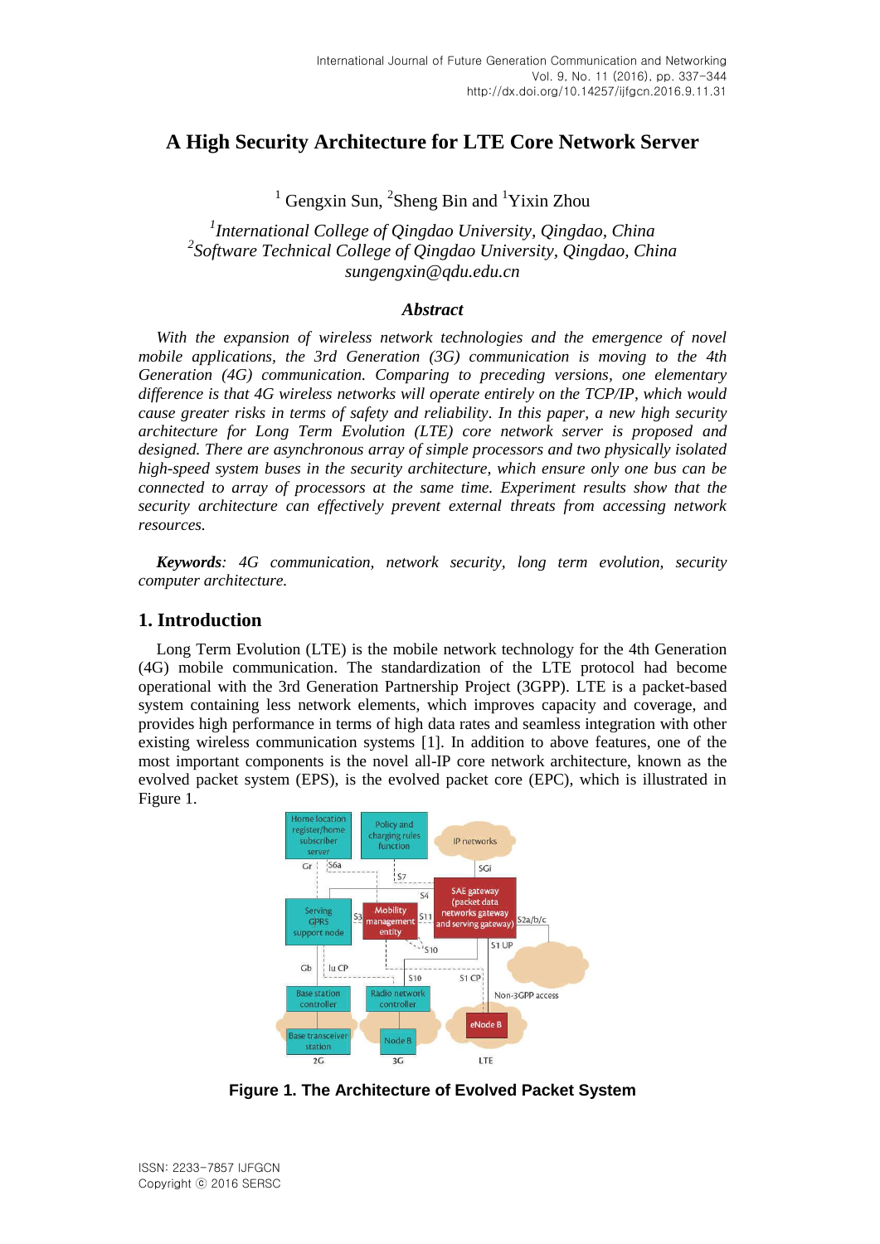# **A High Security Architecture for LTE Core Network Server**

<sup>1</sup> Gengxin Sun, <sup>2</sup>Sheng Bin and <sup>1</sup>Yixin Zhou

*1 International College of Qingdao University, Qingdao, China 2 Software Technical College of Qingdao University, Qingdao, China sungengxin@qdu.edu.cn*

#### *Abstract*

With the expansion of wireless network technologies and the emergence of novel *mobile applications, the 3rd Generation (3G) communication is moving to the 4th Generation (4G) communication. Comparing to preceding versions, one elementary difference is that 4G wireless networks will operate entirely on the TCP/IP, which would cause greater risks in terms of safety and reliability. In this paper, a new high security architecture for Long Term Evolution (LTE) core network server is proposed and designed. There are asynchronous array of simple processors and two physically isolated high-speed system buses in the security architecture, which ensure only one bus can be connected to array of processors at the same time. Experiment results show that the security architecture can effectively prevent external threats from accessing network resources.*

*Keywords: 4G communication, network security, long term evolution, security computer architecture.*

### **1. Introduction**

Long Term Evolution (LTE) is the mobile network technology for the 4th Generation (4G) mobile communication. The standardization of the LTE protocol had become operational with the 3rd Generation Partnership Project (3GPP). LTE is a packet-based system containing less network elements, which improves capacity and coverage, and provides high performance in terms of high data rates and seamless integration with other existing wireless communication systems [1]. In addition to above features, one of the most important components is the novel all-IP core network architecture, known as the evolved packet system (EPS), is the evolved packet core (EPC), which is illustrated in Figure 1.



**Figure 1. The Architecture of Evolved Packet System**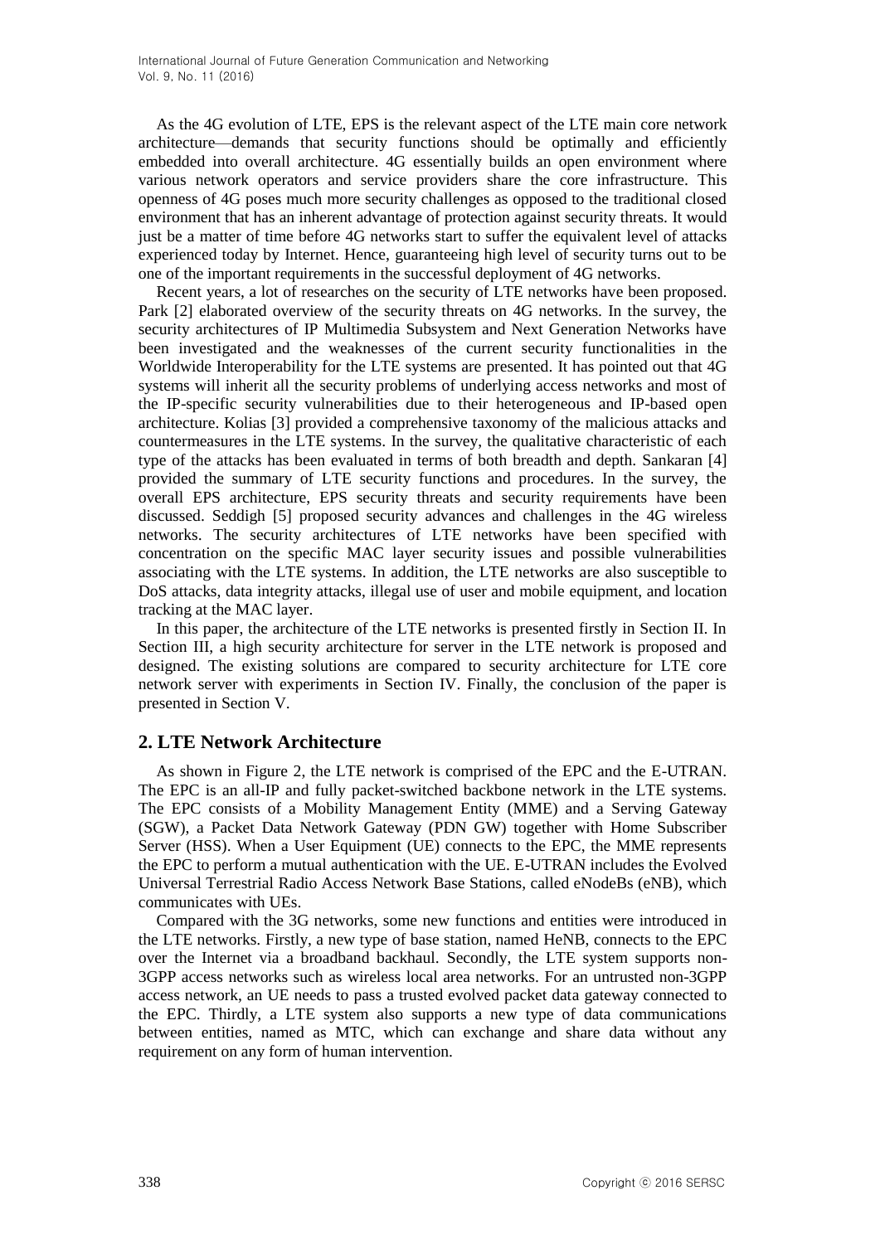As the 4G evolution of LTE, EPS is the relevant aspect of the LTE main core network architecture—demands that security functions should be optimally and efficiently embedded into overall architecture. 4G essentially builds an open environment where various network operators and service providers share the core infrastructure. This openness of 4G poses much more security challenges as opposed to the traditional closed environment that has an inherent advantage of protection against security threats. It would just be a matter of time before 4G networks start to suffer the equivalent level of attacks experienced today by Internet. Hence, guaranteeing high level of security turns out to be one of the important requirements in the successful deployment of 4G networks.

Recent years, a lot of researches on the security of LTE networks have been proposed. Park [2] elaborated overview of the security threats on 4G networks. In the survey, the security architectures of IP Multimedia Subsystem and Next Generation Networks have been investigated and the weaknesses of the current security functionalities in the Worldwide Interoperability for the LTE systems are presented. It has pointed out that 4G systems will inherit all the security problems of underlying access networks and most of the IP-specific security vulnerabilities due to their heterogeneous and IP-based open architecture. Kolias [3] provided a comprehensive taxonomy of the malicious attacks and countermeasures in the LTE systems. In the survey, the qualitative characteristic of each type of the attacks has been evaluated in terms of both breadth and depth. Sankaran [4] provided the summary of LTE security functions and procedures. In the survey, the overall EPS architecture, EPS security threats and security requirements have been discussed. Seddigh [5] proposed security advances and challenges in the 4G wireless networks. The security architectures of LTE networks have been specified with concentration on the specific MAC layer security issues and possible vulnerabilities associating with the LTE systems. In addition, the LTE networks are also susceptible to DoS attacks, data integrity attacks, illegal use of user and mobile equipment, and location tracking at the MAC layer.

In this paper, the architecture of the LTE networks is presented firstly in Section II. In Section III, a high security architecture for server in the LTE network is proposed and designed. The existing solutions are compared to security architecture for LTE core network server with experiments in Section IV. Finally, the conclusion of the paper is presented in Section V.

# **2. LTE Network Architecture**

As shown in Figure 2, the LTE network is comprised of the EPC and the E-UTRAN. The EPC is an all-IP and fully packet-switched backbone network in the LTE systems. The EPC consists of a Mobility Management Entity (MME) and a Serving Gateway (SGW), a Packet Data Network Gateway (PDN GW) together with Home Subscriber Server (HSS). When a User Equipment (UE) connects to the EPC, the MME represents the EPC to perform a mutual authentication with the UE. E-UTRAN includes the Evolved Universal Terrestrial Radio Access Network Base Stations, called eNodeBs (eNB), which communicates with UEs.

Compared with the 3G networks, some new functions and entities were introduced in the LTE networks. Firstly, a new type of base station, named HeNB, connects to the EPC over the Internet via a broadband backhaul. Secondly, the LTE system supports non-3GPP access networks such as wireless local area networks. For an untrusted non-3GPP access network, an UE needs to pass a trusted evolved packet data gateway connected to the EPC. Thirdly, a LTE system also supports a new type of data communications between entities, named as MTC, which can exchange and share data without any requirement on any form of human intervention.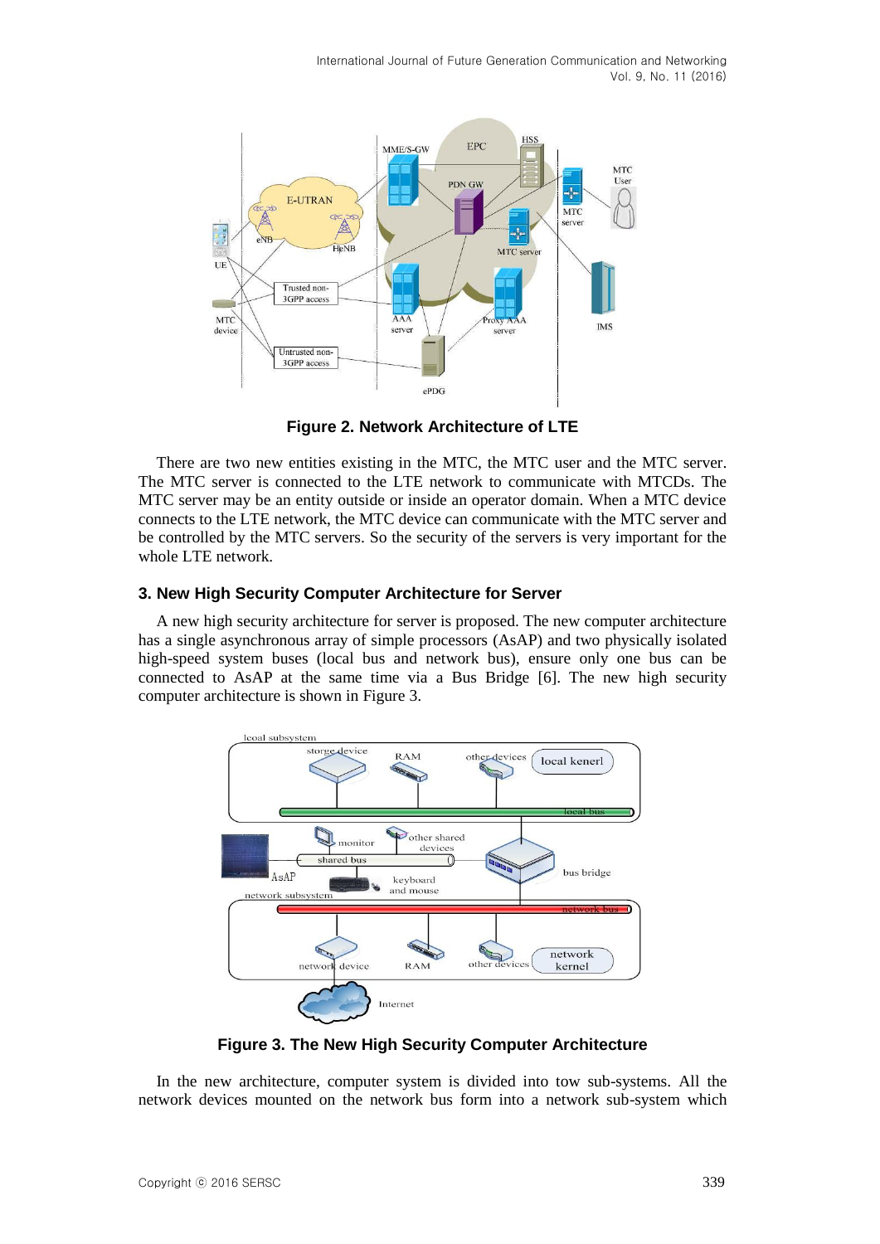

**Figure 2. Network Architecture of LTE**

There are two new entities existing in the MTC, the MTC user and the MTC server. The MTC server is connected to the LTE network to communicate with MTCDs. The MTC server may be an entity outside or inside an operator domain. When a MTC device connects to the LTE network, the MTC device can communicate with the MTC server and be controlled by the MTC servers. So the security of the servers is very important for the whole LTE network.

### **3. New High Security Computer Architecture for Server**

A new high security architecture for server is proposed. The new computer architecture has a single asynchronous array of simple processors (AsAP) and two physically isolated high-speed system buses (local bus and network bus), ensure only one bus can be connected to AsAP at the same time via a Bus Bridge [6]. The new high security computer architecture is shown in Figure 3.



**Figure 3. The New High Security Computer Architecture**

In the new architecture, computer system is divided into tow sub-systems. All the network devices mounted on the network bus form into a network sub-system which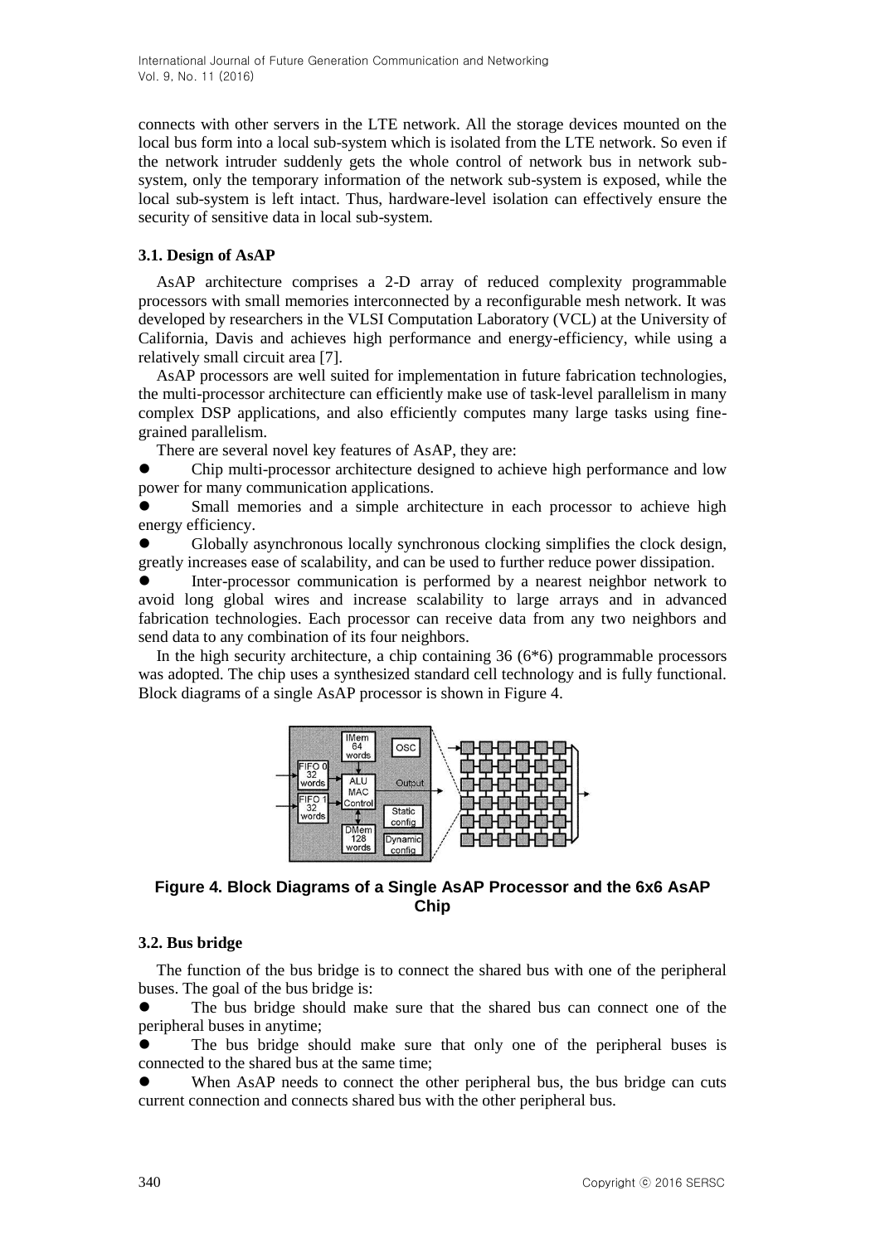connects with other servers in the LTE network. All the storage devices mounted on the local bus form into a local sub-system which is isolated from the LTE network. So even if the network intruder suddenly gets the whole control of network bus in network subsystem, only the temporary information of the network sub-system is exposed, while the local sub-system is left intact. Thus, hardware-level isolation can effectively ensure the security of sensitive data in local sub-system.

### **3.1. Design of AsAP**

AsAP architecture comprises a 2-D array of reduced complexity programmable processors with small memories interconnected by a reconfigurable mesh network. It was developed by researchers in the VLSI Computation Laboratory (VCL) at the University of California, Davis and achieves high performance and energy-efficiency, while using a relatively small circuit area [7].

AsAP processors are well suited for implementation in future fabrication technologies, the multi-processor architecture can efficiently make use of task-level parallelism in many complex DSP applications, and also efficiently computes many large tasks using finegrained parallelism.

There are several novel key features of AsAP, they are:

 Chip multi-processor architecture designed to achieve high performance and low power for many communication applications.

 Small memories and a simple architecture in each processor to achieve high energy efficiency.

 Globally asynchronous locally synchronous clocking simplifies the clock design, greatly increases ease of scalability, and can be used to further reduce power dissipation.

 Inter-processor communication is performed by a nearest neighbor network to avoid long global wires and increase scalability to large arrays and in advanced fabrication technologies. Each processor can receive data from any two neighbors and send data to any combination of its four neighbors.

In the high security architecture, a chip containing  $36(6*6)$  programmable processors was adopted. The chip uses a synthesized standard cell technology and is fully functional. Block diagrams of a single AsAP processor is shown in Figure 4.



# **Figure 4. Block Diagrams of a Single AsAP Processor and the 6x6 AsAP Chip**

### **3.2. Bus bridge**

The function of the bus bridge is to connect the shared bus with one of the peripheral buses. The goal of the bus bridge is:

 The bus bridge should make sure that the shared bus can connect one of the peripheral buses in anytime;

 The bus bridge should make sure that only one of the peripheral buses is connected to the shared bus at the same time;

When AsAP needs to connect the other peripheral bus, the bus bridge can cuts current connection and connects shared bus with the other peripheral bus.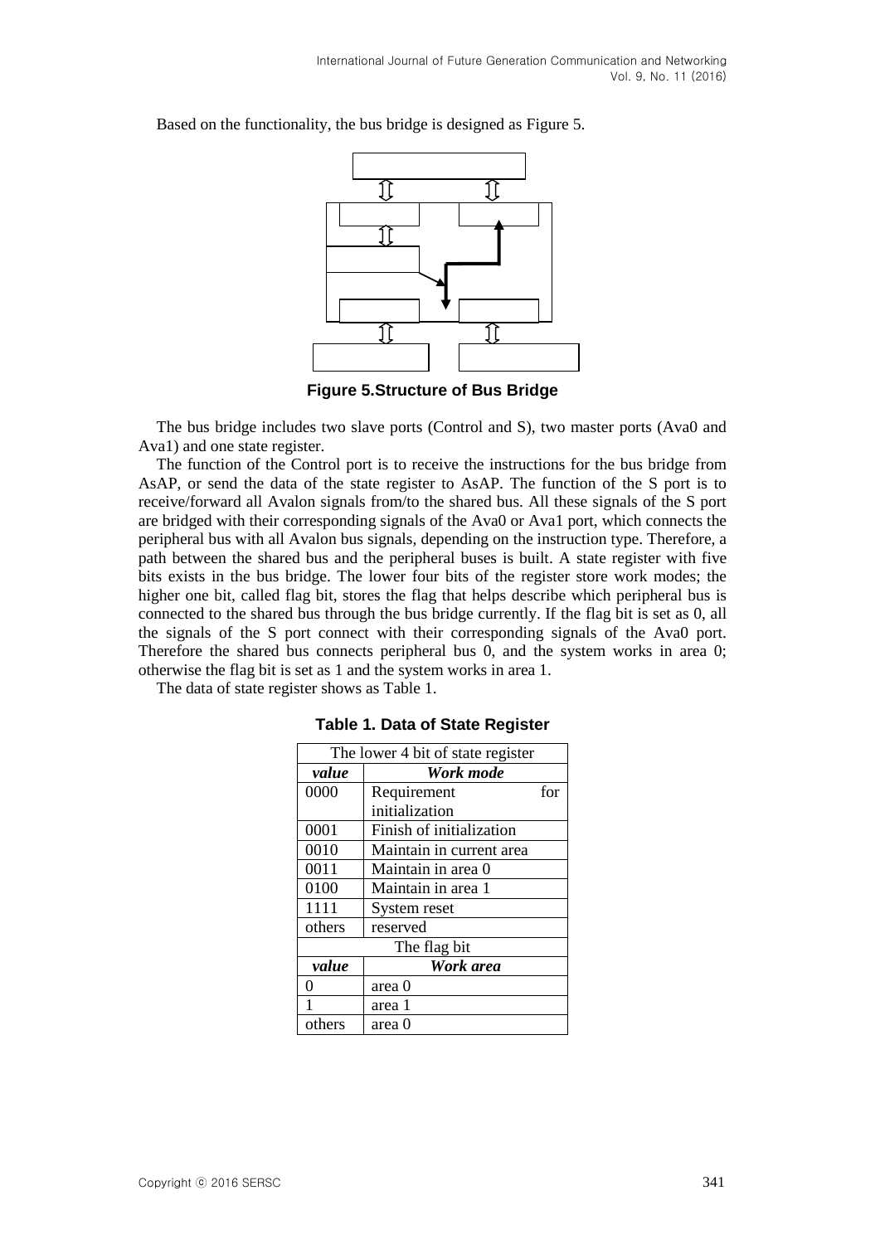

Based on the functionality, the bus bridge is designed as Figure 5.

**Figure 5.Structure of Bus Bridge**

The bus bridge includes two slave ports (Control and S), two master ports (Ava0 and Ava1) and one state register.

The function of the Control port is to receive the instructions for the bus bridge from AsAP, or send the data of the state register to AsAP. The function of the S port is to receive/forward all Avalon signals from/to the shared bus. All these signals of the S port are bridged with their corresponding signals of the Ava0 or Ava1 port, which connects the peripheral bus with all Avalon bus signals, depending on the instruction type. Therefore, a path between the shared bus and the peripheral buses is built. A state register with five bits exists in the bus bridge. The lower four bits of the register store work modes; the higher one bit, called flag bit, stores the flag that helps describe which peripheral bus is connected to the shared bus through the bus bridge currently. If the flag bit is set as 0, all the signals of the S port connect with their corresponding signals of the Ava0 port. Therefore the shared bus connects peripheral bus 0, and the system works in area 0; otherwise the flag bit is set as 1 and the system works in area 1.

The data of state register shows as Table 1.

| The lower 4 bit of state register |                          |     |
|-----------------------------------|--------------------------|-----|
| value                             | Work mode                |     |
| 0000                              | Requirement              | for |
|                                   | initialization           |     |
| 0001                              | Finish of initialization |     |
| 0010                              | Maintain in current area |     |
| 0011                              | Maintain in area 0       |     |
| 0100                              | Maintain in area 1       |     |
| 1111                              | System reset             |     |
| others                            | reserved                 |     |
| The flag bit                      |                          |     |
| value                             | Work area                |     |
|                                   | area 0                   |     |
|                                   | area 1                   |     |
| others                            | area ()                  |     |

**Table 1. Data of State Register**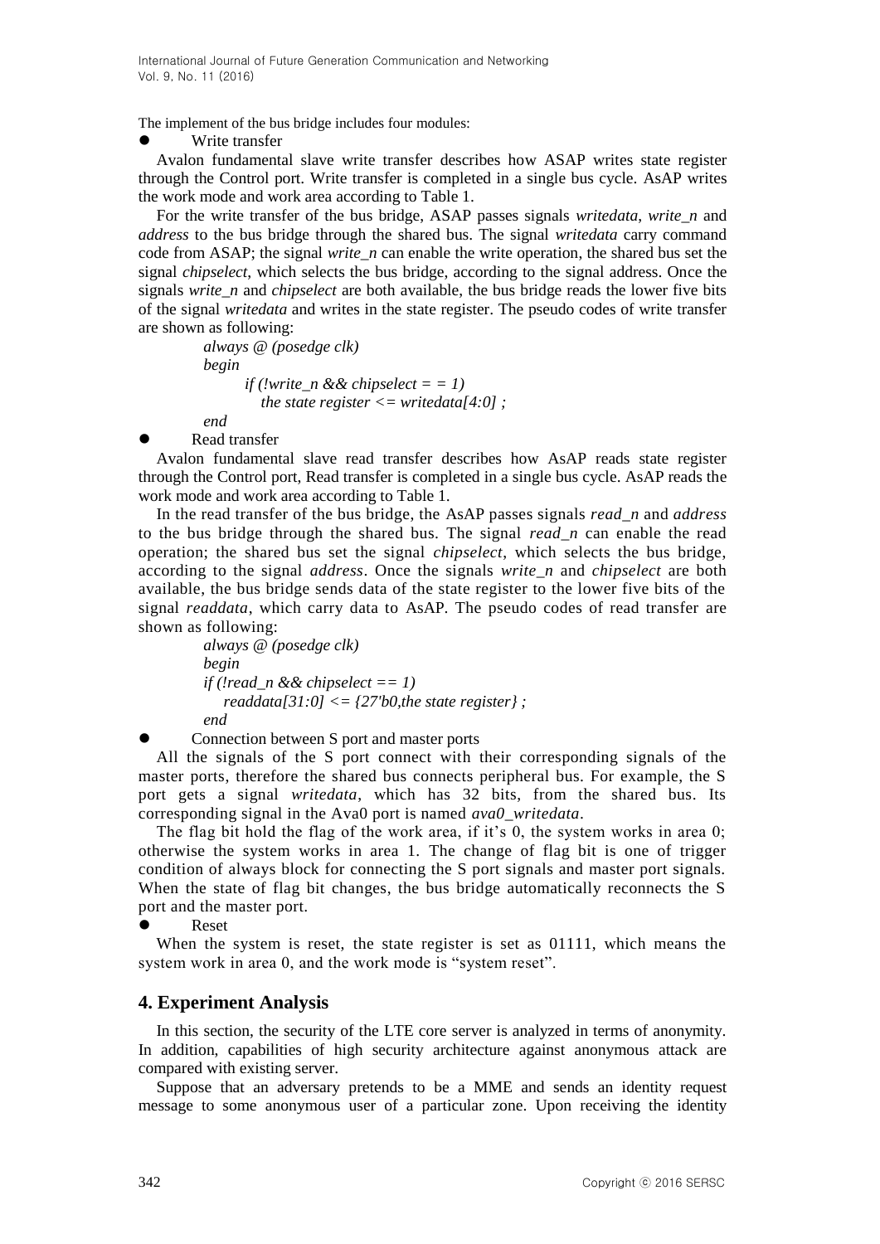The implement of the bus bridge includes four modules:

Write transfer

Avalon fundamental slave write transfer describes how ASAP writes state register through the Control port. Write transfer is completed in a single bus cycle. AsAP writes the work mode and work area according to Table 1.

For the write transfer of the bus bridge, ASAP passes signals *writedata*, *write\_n* and *address* to the bus bridge through the shared bus. The signal *writedata* carry command code from ASAP; the signal *write* n can enable the write operation, the shared bus set the signal *chipselect*, which selects the bus bridge, according to the signal address. Once the signals *write\_n* and *chipselect* are both available, the bus bridge reads the lower five bits of the signal *writedata* and writes in the state register. The pseudo codes of write transfer are shown as following:

> *always @ (posedge clk) begin if (!write n && chipselect =*  $= 1$ *) the state register <= writedata[4:0] ; end*

Read transfer

Avalon fundamental slave read transfer describes how AsAP reads state register through the Control port, Read transfer is completed in a single bus cycle. AsAP reads the work mode and work area according to Table 1.

In the read transfer of the bus bridge, the AsAP passes signals *read\_n* and *address* to the bus bridge through the shared bus. The signal *read\_n* can enable the read operation; the shared bus set the signal *chipselect*, which selects the bus bridge, according to the signal *address*. Once the signals *write\_n* and *chipselect* are both available, the bus bridge sends data of the state register to the lower five bits of the signal *readdata*, which carry data to AsAP. The pseudo codes of read transfer are shown as following:

*always @ (posedge clk) begin if (!read\_n && chipselect == 1) readdata[31:0] <= {27'b0,the state register} ; end*

Connection between S port and master ports

All the signals of the S port connect with their corresponding signals of the master ports, therefore the shared bus connects peripheral bus. For example, the S port gets a signal *writedata*, which has 32 bits, from the shared bus. Its corresponding signal in the Ava0 port is named *ava0\_writedata*.

The flag bit hold the flag of the work area, if it's 0, the system works in area 0; otherwise the system works in area 1. The change of flag bit is one of trigger condition of always block for connecting the S port signals and master port signals. When the state of flag bit changes, the bus bridge automatically reconnects the S port and the master port.

Reset

When the system is reset, the state register is set as 01111, which means the system work in area 0, and the work mode is "system reset".

# **4. Experiment Analysis**

In this section, the security of the LTE core server is analyzed in terms of anonymity. In addition, capabilities of high security architecture against anonymous attack are compared with existing server.

Suppose that an adversary pretends to be a MME and sends an identity request message to some anonymous user of a particular zone. Upon receiving the identity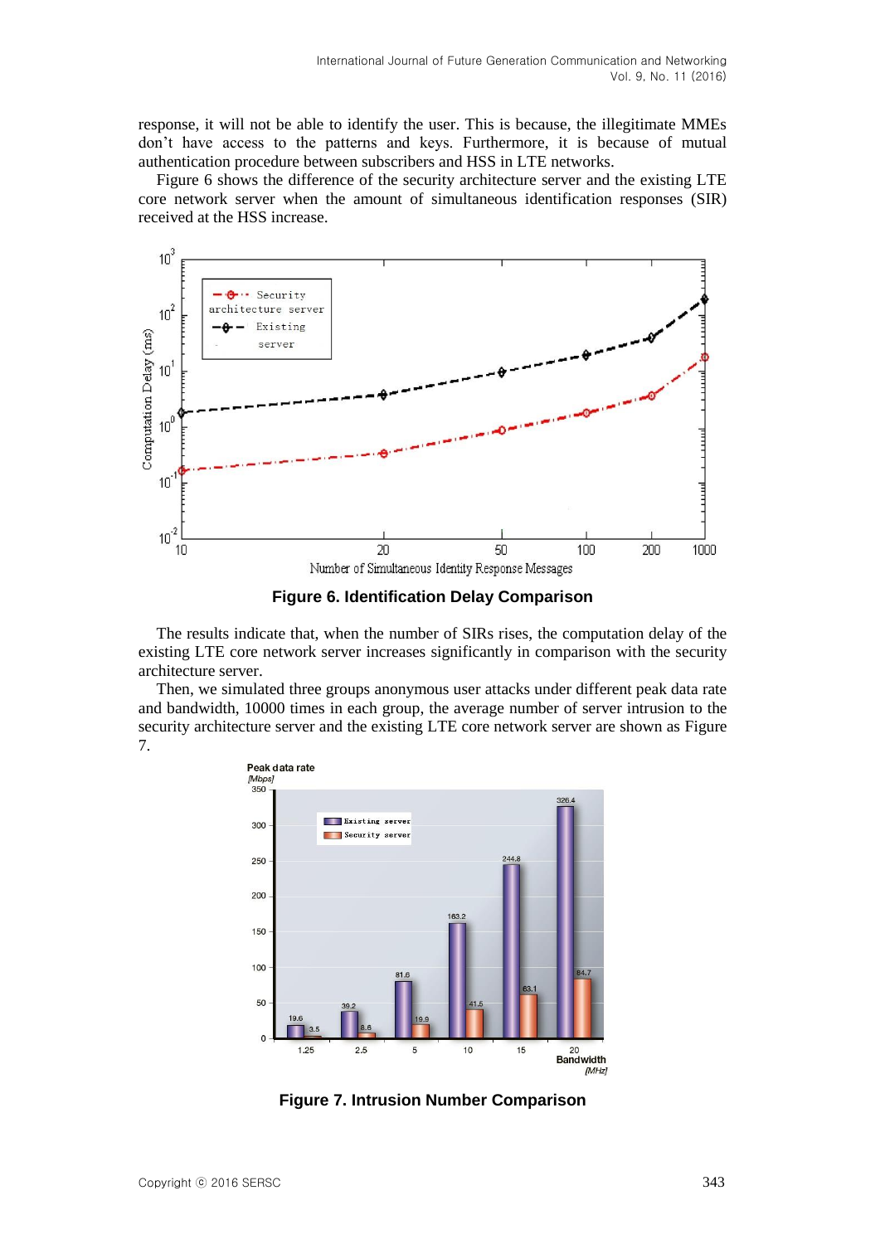response, it will not be able to identify the user. This is because, the illegitimate MMEs don't have access to the patterns and keys. Furthermore, it is because of mutual authentication procedure between subscribers and HSS in LTE networks.

Figure 6 shows the difference of the security architecture server and the existing LTE core network server when the amount of simultaneous identification responses (SIR) received at the HSS increase.



**Figure 6. Identification Delay Comparison**

The results indicate that, when the number of SIRs rises, the computation delay of the existing LTE core network server increases significantly in comparison with the security architecture server.

Then, we simulated three groups anonymous user attacks under different peak data rate and bandwidth, 10000 times in each group, the average number of server intrusion to the security architecture server and the existing LTE core network server are shown as Figure 7.



**Figure 7. Intrusion Number Comparison**